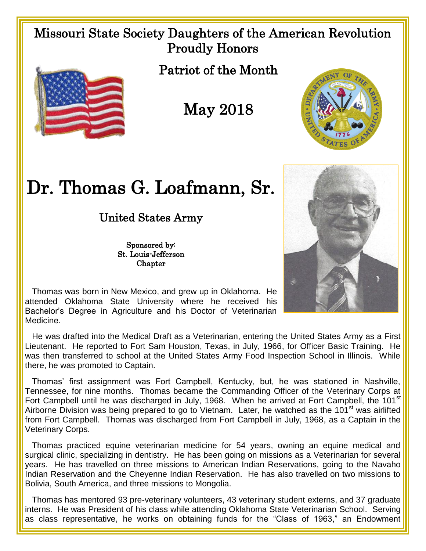## Missouri State Society Daughters of the American Revolution Proudly Honors



Patriot of the Month

May 2018



## Dr. Thomas G. Loafmann, Sr.

United States Army

Sponsored by: St. Louis-Jefferson **Chapter** 



 Thomas was born in New Mexico, and grew up in Oklahoma. He attended Oklahoma State University where he received his Bachelor's Degree in Agriculture and his Doctor of Veterinarian Medicine.

 He was drafted into the Medical Draft as a Veterinarian, entering the United States Army as a First Lieutenant. He reported to Fort Sam Houston, Texas, in July, 1966, for Officer Basic Training. He was then transferred to school at the United States Army Food Inspection School in Illinois. While there, he was promoted to Captain.

 Thomas' first assignment was Fort Campbell, Kentucky, but, he was stationed in Nashville, Tennessee, for nine months. Thomas became the Commanding Officer of the Veterinary Corps at Fort Campbell until he was discharged in July, 1968. When he arrived at Fort Campbell, the 101<sup>st</sup> Airborne Division was being prepared to go to Vietnam. Later, he watched as the 101<sup>st</sup> was airlifted from Fort Campbell. Thomas was discharged from Fort Campbell in July, 1968, as a Captain in the Veterinary Corps.

 Thomas practiced equine veterinarian medicine for 54 years, owning an equine medical and surgical clinic, specializing in dentistry. He has been going on missions as a Veterinarian for several years. He has travelled on three missions to American Indian Reservations, going to the Navaho Indian Reservation and the Cheyenne Indian Reservation. He has also travelled on two missions to Bolivia, South America, and three missions to Mongolia.

 Thomas has mentored 93 pre-veterinary volunteers, 43 veterinary student externs, and 37 graduate interns. He was President of his class while attending Oklahoma State Veterinarian School. Serving as class representative, he works on obtaining funds for the "Class of 1963," an Endowment